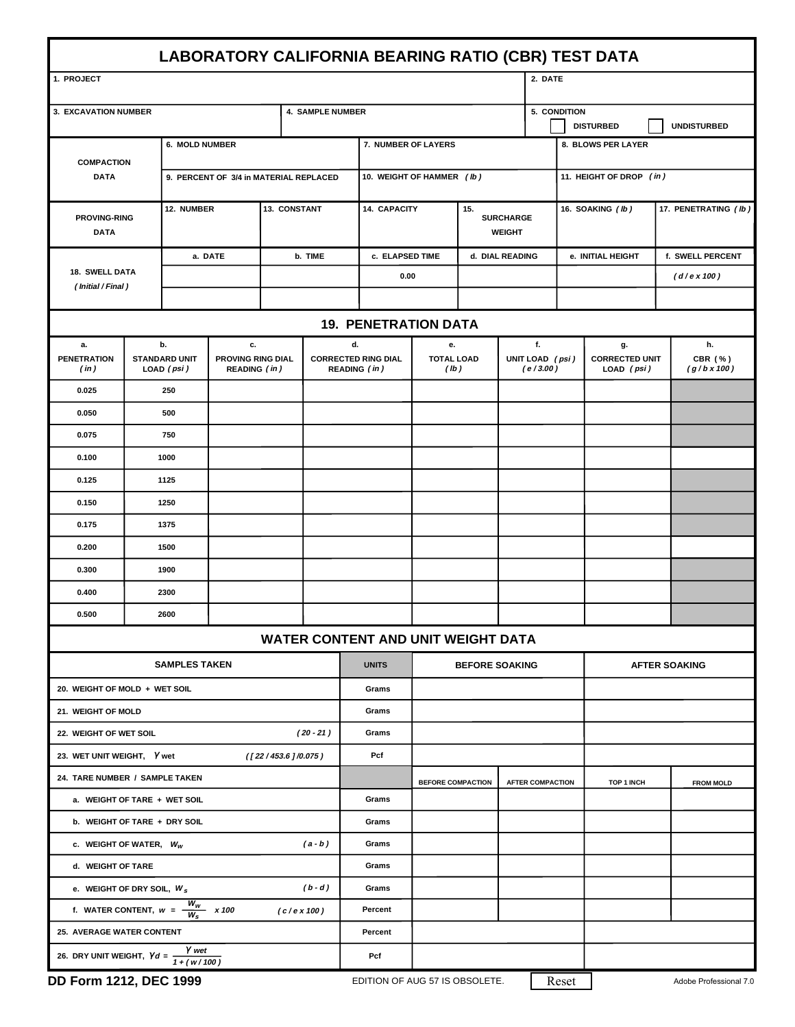| LABORATORY CALIFORNIA BEARING RATIO (CBR) TEST DATA        |                                |                                        |  |                                          |                     |                                            |                                      |                                          |                             |                                        |                                           |                      |                               |  |
|------------------------------------------------------------|--------------------------------|----------------------------------------|--|------------------------------------------|---------------------|--------------------------------------------|--------------------------------------|------------------------------------------|-----------------------------|----------------------------------------|-------------------------------------------|----------------------|-------------------------------|--|
| 1. PROJECT                                                 |                                |                                        |  |                                          |                     |                                            |                                      |                                          |                             | 2. DATE                                |                                           |                      |                               |  |
| <b>4. SAMPLE NUMBER</b><br>3. EXCAVATION NUMBER            |                                |                                        |  |                                          |                     |                                            |                                      |                                          |                             | 5. CONDITION                           |                                           |                      |                               |  |
|                                                            |                                |                                        |  |                                          |                     |                                            |                                      |                                          |                             | <b>DISTURBED</b><br><b>UNDISTURBED</b> |                                           |                      |                               |  |
| <b>COMPACTION</b><br><b>DATA</b>                           |                                | 6. MOLD NUMBER                         |  |                                          | 7. NUMBER OF LAYERS |                                            |                                      |                                          |                             |                                        | 8. BLOWS PER LAYER                        |                      |                               |  |
|                                                            |                                | 9. PERCENT OF 3/4 in MATERIAL REPLACED |  |                                          |                     |                                            | 10. WEIGHT OF HAMMER (Ib)            |                                          |                             | 11. HEIGHT OF DROP (in)                |                                           |                      |                               |  |
| <b>PROVING-RING</b><br><b>DATA</b>                         |                                | 12. NUMBER                             |  | 13. CONSTANT                             |                     | <b>14. CAPACITY</b>                        |                                      | 15.<br><b>SURCHARGE</b><br><b>WEIGHT</b> |                             | 16. SOAKING (Ib)                       |                                           | 17. PENETRATING (Ib) |                               |  |
| 18. SWELL DATA<br>(Initial / Final)                        |                                | a. DATE                                |  | b. TIME                                  |                     | c. ELAPSED TIME                            |                                      | d. DIAL READING                          |                             | e. INITIAL HEIGHT                      |                                           | f. SWELL PERCENT     |                               |  |
|                                                            |                                |                                        |  |                                          |                     | 0.00                                       |                                      |                                          |                             |                                        |                                           | (d / e x 100)        |                               |  |
|                                                            |                                |                                        |  |                                          |                     |                                            |                                      |                                          |                             |                                        |                                           |                      |                               |  |
| <b>19. PENETRATION DATA</b>                                |                                |                                        |  |                                          |                     |                                            |                                      |                                          |                             |                                        |                                           |                      |                               |  |
| а.                                                         |                                | b.<br>с.                               |  |                                          |                     | d.                                         | е.                                   |                                          |                             |                                        | g.                                        |                      | h.                            |  |
| <b>PENETRATION</b><br>(in)                                 |                                | <b>STANDARD UNIT</b><br>LOAD (psi)     |  | PROVING RING DIAL<br><b>READING</b> (in) |                     | <b>CORRECTED RING DIAL</b><br>READING (in) | <b>TOTAL LOAD</b><br>$(\mathsf{lb})$ |                                          | UNIT LOAD (psi)<br>(e/3.00) |                                        | <b>CORRECTED UNIT</b><br>$LOAD$ ( $psi$ ) |                      | CBR (%)<br>$(g/b \times 100)$ |  |
|                                                            | 0.025<br>250                   |                                        |  |                                          |                     |                                            |                                      |                                          |                             |                                        |                                           |                      |                               |  |
|                                                            | 0.050<br>500                   |                                        |  |                                          |                     |                                            |                                      |                                          |                             |                                        |                                           |                      |                               |  |
| 0.075<br>750                                               |                                |                                        |  |                                          |                     |                                            |                                      |                                          |                             |                                        |                                           |                      |                               |  |
| 0.100                                                      | 1000                           |                                        |  |                                          |                     |                                            |                                      |                                          |                             |                                        |                                           |                      |                               |  |
| 0.125<br>1125<br>1250                                      |                                |                                        |  |                                          |                     |                                            |                                      |                                          |                             |                                        |                                           |                      |                               |  |
| 0.150                                                      |                                |                                        |  |                                          |                     |                                            |                                      |                                          |                             |                                        |                                           |                      |                               |  |
| 0.175<br>1375                                              |                                |                                        |  |                                          |                     |                                            |                                      |                                          |                             |                                        |                                           |                      |                               |  |
|                                                            | 0.200<br>1500<br>0.300<br>1900 |                                        |  |                                          |                     |                                            |                                      |                                          |                             |                                        |                                           |                      |                               |  |
|                                                            | 0.400                          |                                        |  |                                          |                     |                                            |                                      |                                          |                             |                                        |                                           |                      |                               |  |
| 0.500                                                      | 2300<br>2600                   |                                        |  |                                          |                     |                                            |                                      |                                          |                             |                                        |                                           |                      |                               |  |
|                                                            |                                |                                        |  |                                          |                     | <b>WATER CONTENT AND UNIT WEIGHT DATA</b>  |                                      |                                          |                             |                                        |                                           |                      |                               |  |
|                                                            |                                | <b>SAMPLES TAKEN</b>                   |  |                                          |                     | <b>UNITS</b>                               | <b>BEFORE SOAKING</b>                |                                          |                             |                                        | <b>AFTER SOAKING</b>                      |                      |                               |  |
| 20. WEIGHT OF MOLD + WET SOIL                              |                                |                                        |  |                                          |                     | Grams                                      |                                      |                                          |                             |                                        |                                           |                      |                               |  |
| 21. WEIGHT OF MOLD                                         |                                |                                        |  |                                          |                     | Grams                                      |                                      |                                          |                             |                                        |                                           |                      |                               |  |
| $(20 - 21)$<br>22. WEIGHT OF WET SOIL                      |                                |                                        |  |                                          |                     | Grams                                      |                                      |                                          |                             |                                        |                                           |                      |                               |  |
| 23. WET UNIT WEIGHT, <i>Y</i> wet<br>$($ [22/453.6]/0.075) |                                |                                        |  |                                          |                     | Pcf                                        |                                      |                                          |                             |                                        |                                           |                      |                               |  |
| 24. TARE NUMBER / SAMPLE TAKEN                             |                                |                                        |  |                                          |                     |                                            | <b>BEFORE COMPACTION</b>             |                                          | <b>AFTER COMPACTION</b>     |                                        | TOP 1 INCH                                |                      | <b>FROM MOLD</b>              |  |
| a. WEIGHT OF TARE + WET SOIL                               |                                |                                        |  |                                          |                     | Grams                                      |                                      |                                          |                             |                                        |                                           |                      |                               |  |
| b. WEIGHT OF TARE + DRY SOIL                               |                                |                                        |  |                                          |                     | Grams                                      |                                      |                                          |                             |                                        |                                           |                      |                               |  |
| c. WEIGHT OF WATER, $W_W$<br>$(a - b)$                     |                                |                                        |  |                                          |                     | Grams                                      |                                      |                                          |                             |                                        |                                           |                      |                               |  |
| d. WEIGHT OF TARE                                          |                                |                                        |  |                                          |                     | Grams                                      |                                      |                                          |                             |                                        |                                           |                      |                               |  |
| $(b-d)$<br>e. WEIGHT OF DRY SOIL, $W_s$                    |                                |                                        |  |                                          |                     | Grams                                      |                                      |                                          |                             |                                        |                                           |                      |                               |  |
| f. WATER CONTENT, $w = \frac{W_w}{W_s}$ x 100<br>(c/ex100) |                                |                                        |  |                                          |                     | Percent                                    |                                      |                                          |                             |                                        |                                           |                      |                               |  |
| <b>25. AVERAGE WATER CONTENT</b>                           |                                |                                        |  |                                          |                     | Percent                                    |                                      |                                          |                             |                                        |                                           |                      |                               |  |
| 26. DRY UNIT WEIGHT, $\gamma_d = \frac{1}{1 + (w/100)}$    |                                | <b>DEO</b> 4000                        |  |                                          |                     | Pcf<br>EDITION OF AUG 57 10 ODOOL          |                                      |                                          |                             |                                        |                                           |                      |                               |  |